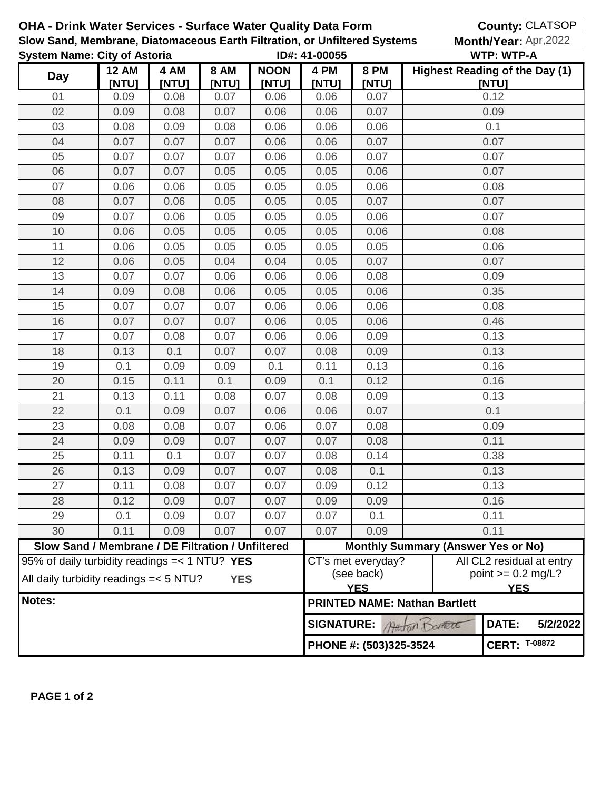| OHA - Drink Water Services - Surface Water Quality Data Form<br>Slow Sand, Membrane, Diatomaceous Earth Filtration, or Unfiltered Systems<br><b>System Name: City of Astoria</b><br>ID#: 41-00055 |                                                   |       |             |             |                                              |                                                |                                           |                                                                 | County: CLATSOP |  |
|---------------------------------------------------------------------------------------------------------------------------------------------------------------------------------------------------|---------------------------------------------------|-------|-------------|-------------|----------------------------------------------|------------------------------------------------|-------------------------------------------|-----------------------------------------------------------------|-----------------|--|
|                                                                                                                                                                                                   |                                                   |       |             |             |                                              |                                                |                                           | Month/Year: Apr,2022<br><b>WTP: WTP-A</b>                       |                 |  |
| 4 AM<br><b>12 AM</b>                                                                                                                                                                              |                                                   |       | <b>8 AM</b> | <b>NOON</b> | Highest Reading of the Day (1)               |                                                |                                           |                                                                 |                 |  |
| <b>Day</b>                                                                                                                                                                                        | [NTU]                                             | [NTU] | [NTU]       | [NTU]       | 4 PM<br>[NTU]                                | 8 PM<br>[NTU]                                  |                                           | [NTU]                                                           |                 |  |
| 01                                                                                                                                                                                                | 0.09                                              | 0.08  | 0.07        | 0.06        | 0.06                                         | 0.07                                           | 0.12                                      |                                                                 |                 |  |
| 02                                                                                                                                                                                                | 0.09                                              | 0.08  | 0.07        | 0.06        | 0.06                                         | 0.07                                           |                                           | 0.09                                                            |                 |  |
| 03                                                                                                                                                                                                | 0.08                                              | 0.09  | 0.08        | 0.06        | 0.06                                         | 0.06                                           |                                           | 0.1                                                             |                 |  |
| 04                                                                                                                                                                                                | 0.07                                              | 0.07  | 0.07        | 0.06        | 0.06                                         | 0.07                                           |                                           | 0.07                                                            |                 |  |
| 05                                                                                                                                                                                                | 0.07                                              | 0.07  | 0.07        | 0.06        | 0.06                                         | 0.07                                           |                                           | 0.07                                                            |                 |  |
| 06                                                                                                                                                                                                | 0.07                                              | 0.07  | 0.05        | 0.05        | 0.05                                         | 0.06                                           |                                           | 0.07                                                            |                 |  |
| 07                                                                                                                                                                                                | 0.06                                              | 0.06  | 0.05        | 0.05        | 0.05                                         | 0.06                                           |                                           | 0.08                                                            |                 |  |
| 08                                                                                                                                                                                                | 0.07                                              | 0.06  | 0.05        | 0.05        | 0.05                                         | 0.07                                           |                                           | 0.07                                                            |                 |  |
| 09                                                                                                                                                                                                | 0.07                                              | 0.06  | 0.05        | 0.05        | 0.05                                         | 0.06                                           |                                           | 0.07                                                            |                 |  |
| 10                                                                                                                                                                                                | 0.06                                              | 0.05  | 0.05        | 0.05        | 0.05                                         | 0.06                                           |                                           | 0.08                                                            |                 |  |
| 11                                                                                                                                                                                                | 0.06                                              | 0.05  | 0.05        | 0.05        | 0.05                                         | 0.05                                           |                                           | 0.06                                                            |                 |  |
| 12                                                                                                                                                                                                | 0.06                                              | 0.05  | 0.04        | 0.04        | 0.05                                         | 0.07                                           |                                           | 0.07                                                            |                 |  |
| 13                                                                                                                                                                                                | 0.07                                              | 0.07  | 0.06        | 0.06        | 0.06                                         | 0.08                                           |                                           | 0.09                                                            |                 |  |
| 14                                                                                                                                                                                                | 0.09                                              | 0.08  | 0.06        | 0.05        | 0.05                                         | 0.06                                           |                                           | 0.35                                                            |                 |  |
| 15                                                                                                                                                                                                | 0.07                                              | 0.07  | 0.07        | 0.06        | 0.06                                         | 0.06                                           |                                           | 0.08                                                            |                 |  |
| 16                                                                                                                                                                                                | 0.07                                              | 0.07  | 0.07        | 0.06        | 0.05                                         | 0.06                                           |                                           | 0.46                                                            |                 |  |
| 17                                                                                                                                                                                                | 0.07                                              | 0.08  | 0.07        | 0.06        | 0.06                                         | 0.09                                           |                                           | 0.13                                                            |                 |  |
| 18                                                                                                                                                                                                | 0.13                                              | 0.1   | 0.07        | 0.07        | 0.08                                         | 0.09                                           | 0.13                                      |                                                                 |                 |  |
| 19                                                                                                                                                                                                | 0.1                                               | 0.09  | 0.09        | 0.1         | 0.11                                         | 0.13                                           |                                           | 0.16                                                            |                 |  |
| 20                                                                                                                                                                                                | 0.15                                              | 0.11  | 0.1         | 0.09        | 0.1                                          | 0.12                                           | 0.16                                      |                                                                 |                 |  |
| 21                                                                                                                                                                                                | 0.13                                              | 0.11  | 0.08        | 0.07        | 0.08                                         | 0.09                                           | 0.13                                      |                                                                 |                 |  |
| 22                                                                                                                                                                                                | 0.1                                               | 0.09  | 0.07        | 0.06        | 0.06                                         | 0.07                                           | 0.1                                       |                                                                 |                 |  |
| 23                                                                                                                                                                                                | 0.08                                              | 0.08  | 0.07        | 0.06        | 0.07                                         | 0.08                                           | 0.09                                      |                                                                 |                 |  |
| 24                                                                                                                                                                                                | 0.09                                              | 0.09  | 0.07        | 0.07        | 0.07                                         | 0.08                                           | 0.11                                      |                                                                 |                 |  |
| 25                                                                                                                                                                                                | 0.11                                              | 0.1   | 0.07        | 0.07        | 0.08                                         | 0.14                                           | 0.38                                      |                                                                 |                 |  |
| 26                                                                                                                                                                                                | 0.13                                              | 0.09  | 0.07        | 0.07        | 0.08                                         | 0.1                                            | 0.13                                      |                                                                 |                 |  |
| 27                                                                                                                                                                                                | 0.11                                              | 0.08  | 0.07        | 0.07        | 0.09                                         | 0.12                                           | 0.13                                      |                                                                 |                 |  |
| 28                                                                                                                                                                                                | 0.12                                              | 0.09  | 0.07        | 0.07        | 0.09                                         | 0.09                                           |                                           | 0.16                                                            |                 |  |
| 29                                                                                                                                                                                                | 0.1                                               | 0.09  | 0.07        | 0.07        | 0.07                                         | 0.1                                            |                                           | 0.11                                                            |                 |  |
| 30                                                                                                                                                                                                | 0.11                                              | 0.09  | 0.07        | 0.07        | 0.07                                         | 0.09                                           |                                           | 0.11                                                            |                 |  |
|                                                                                                                                                                                                   | Slow Sand / Membrane / DE Filtration / Unfiltered |       |             |             |                                              |                                                | <b>Monthly Summary (Answer Yes or No)</b> |                                                                 |                 |  |
| 95% of daily turbidity readings $=< 1 N T U$ ? YES<br>All daily turbidity readings = < 5 NTU?<br><b>YES</b>                                                                                       |                                                   |       |             |             |                                              | CT's met everyday?<br>(see back)<br><b>YES</b> |                                           | All CL2 residual at entry<br>point $>= 0.2$ mg/L?<br><b>YES</b> |                 |  |
| Notes:                                                                                                                                                                                            |                                                   |       |             |             |                                              |                                                | <b>PRINTED NAME: Nathan Bartlett</b>      |                                                                 |                 |  |
|                                                                                                                                                                                                   |                                                   |       |             |             | DATE:<br><b>SIGNATURE:</b><br>Austria DOARTE |                                                |                                           |                                                                 | 5/2/2022        |  |
|                                                                                                                                                                                                   |                                                   |       |             |             | PHONE #: (503)325-3524                       | <b>CERT: T-08872</b>                           |                                           |                                                                 |                 |  |